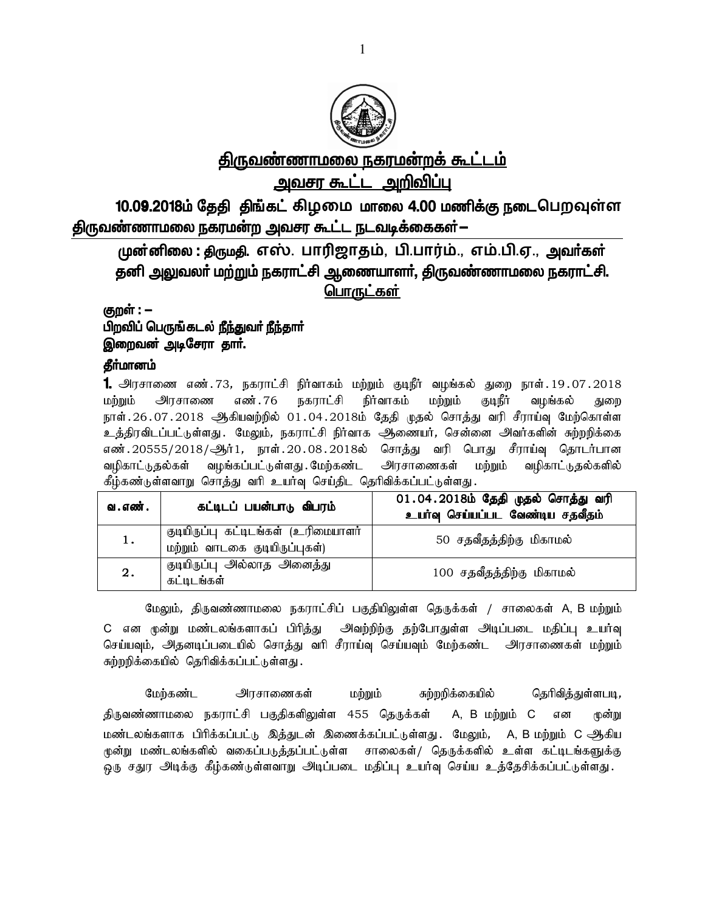

# <u>திருவண்ணாமலை நகரமன்றக் கூட்டம்</u> <u>அவசர கூட்ட அறிவிப்பு</u>

10.0**9**.2018ம் தேதி திங்கட் கிழமை மாலை 4.00 மணிக்கு நடைபெறவுள்ள <u>திருவண்ணாமலை ந</u>கரமன்ற அவசர கூட்ட நடவடிக்கைகள்—

முன்னிலை : திருமதி, எஸ். பாரிஜாதம், பி.பார்ம்., எம்.பி.ஏ., அவர்கள் தனி அலுவலா் மற்றும் நகராட்சி ஆணையாளா், திருவண்ணாமலை நகராட்சி. பொருட்கள்

<u>கு</u>றள் : —

### பிறவிப் பெருங்கடல் <u>நீந்து</u>வர் <u>நீந்</u>தார் இறைவன் அடிசேரா தா**ா்.**

#### கீர்மானம்

**1.** அரசாணை எண்.73, நகராட்சி நிர்வாகம் மற்றும் குடிநீர் வழங்கல் துறை நாள்.19.07.2018 மற்றும் அரசாணை எண்.76 நகராட்சி நிர்வாகம் மற்றும் குடிநீர் வழங்கல் துறை நாள். 26 . 07 . 2018 ஆகியவற்றில் 01 . 04 . 2018ம் தேதி முதல் சொத்து வரி சீராய்வு மேற்கொள்ள உத்திரவிடப்பட்டுள்ளது . மேலும், நகராட்சி நிர்வாக அணையர், சென்னை அவர்களின் சுற்றறிக்கை எண்.20555/2018/ஆர்1, நாள்.20.08.2018ல் சொத்து வரி பொது சீராய்வு தொடர்பான வழிகாட்டுதல்கள் வழங்கப்பட்டுள்ளது மேற்கண்ட அரசாணைகள் மற்றும் வழிகாட்டுதல்களில் கீழ்கண்டுள்ளவாறு சொத்து வரி உயர்வு செய்திட தெரிவிக்கப்பட்டுள்ளது.

| வ . எண் . | கட்டிடப் பயன்பாடு விபரம்                                               | $\overline{01.04.2018}$ ம் தேதி முதல் சொத்து வரி<br>உயா்வு செய்யப்பட வேண்டிய சதவீதம் |
|-----------|------------------------------------------------------------------------|--------------------------------------------------------------------------------------|
| 1.        | குடியிருப்பு கட்டிடங்கள் (உரிமையாளர்<br>மற்றும் வாடகை குடியிருப்புகள்) | 50 சதவீதத்திற்கு மிகாமல்                                                             |
| 2.        | குடியிருப்பு அல்லாத அனைத்து<br>கட்டிடங்கள்                             | 100 சதவீதத்திற்கு மிகாமல்                                                            |

மேலும், திருவண்ணாமலை நகராட்சிப் பகுதியிலுள்ள தெருக்கள் / சாலைகள் A, B மற்றும் C என முன்று மண்டலங்களாகப் பிரித்து அவற்றிற்கு தற்போதுள்ள அடிப்படை மதிப்பு உயர்வு செய்யவும், அதனடிப்படையில் சொத்து வரி சீராய்வு செய்யவும் மேற்கண்ட அரசாணைகள் மற்றும் சுற்றறிக்கையில் தெரிவிக்கப்பட்டுள்ளது.

மேற்கண்ட அரசாணைகள் மற்றும் சுற்றறிக்கையில் தெரிவித்துள்ளபடி, திருவண்ணாமலை நகராட்சி பகுதிகளிலுள்ள 455 தெருக்கள் A, B மற்றும் C என முன்று மண்டலங்களாக பிரிக்கப்பட்டு இத்துடன் இணைக்கப்பட்டுள்ளது. மேலும், A, B மற்றும் C ஆிகிய முன்று மண்டலங்களில் வகைப்படுத்தப்பட்டுள்ள சாலைகள்/ தெருக்களில் உள்ள கட்டிடங்களுக்கு ஒரு சதுர அடிக்கு கீழ்கண்டுள்ளவாறு அடிப்படை மதிப்பு உயர்வு செய்ய உத்தேசிக்கப்பட்டுள்ளது.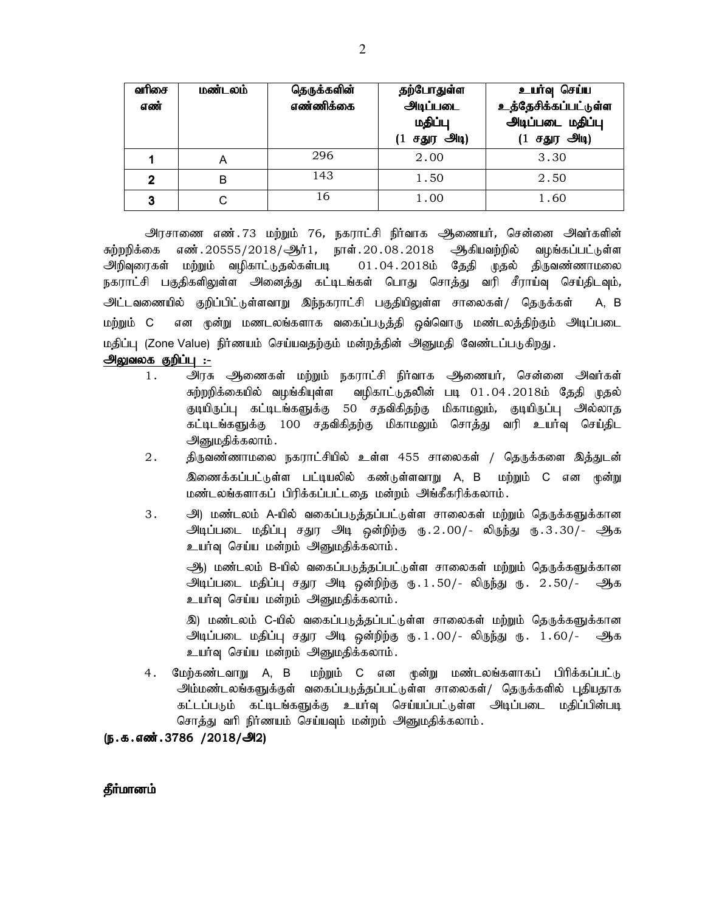| வரிசை<br>எண் | மண்டலம் | தெருக்களின்<br>எண்ணிக்கை | தற்போதுள்ள<br>அடிப்படை<br>மதிப்பு<br>(1 சதுர அடி) | உயர்வு செய்ய<br>உத்தேசிக்கப்பட்டுள்ள<br>அடிப்படை மதிப்பு<br>$(1 + 5)$ ர அடி) |
|--------------|---------|--------------------------|---------------------------------------------------|------------------------------------------------------------------------------|
|              | Α       | 296                      | 2.00                                              | 3.30                                                                         |
| 2            | B       | 143                      | 1.50                                              | 2.50                                                                         |
| 3            |         | 16                       | 1.00                                              | 1.60                                                                         |

அரசாணை எண்.73 மற்றும் 76, நகராட்சி நிர்வாக அிணையர், சென்னை அவர்களின் சுற்றறிக்கை எண். 20555/2018/ஆர்1, நாள். 20.08.2018 ஆகியவற்றில் வழங்கப்பட்டுள்ள அிறிவுரைகள் மற்றும் வழிகாட்டுதல்கள்படி 01.04.2018ம் தேதி முதல் திருவண்ணாமலை நகராட்சி பகுதிகளிலுள்ள அனைத்து கட்டிடங்கள் பொது சொத்து வரி சீராய்வு செய்திடவும், அட்டவணையில் குறிப்பிட்டுள்ளவாறு இந்நகராட்சி பகுதியிலுள்ள சாலைகள்*/* தெருக்கள் A, B மற்றும் C என முன்று மணடலங்களாக வகைப்படுத்தி ஒவ்வொரு மண்டலத்திற்கும் அடிப்படை மதிப்பு (Zone Value) நிர்ணயம் செய்யவதற்கும் மன்றத்தின் அனுமதி வேண்டப்படுகிறது.

#### அலுவலக குறிப்பு :-

- 1. அரசு ஆணைகள் மற்றும் நகராட்சி நிர்வாக ஆணையர், சென்னை அவர்கள் சுற்றறிக்கையில் வழங்கியுள்ள வழிகாட்டுதலிின் படி 01.04.2018ம் தேதி முதல் குடியிருப்பு கட்டிடங்களுக்கு 50 சதவிகிதற்கு மிகாமலும், குடியிருப்பு அல்லாத கட்டிடங்களுக்கு 100 சதவிகிதற்கு மிகாமலும் சொத்து வரி உயர்வு செய்திட அனுமதிக்கலாம்.
- 2. திருவண்ணாமலை நகராட்சியில் உள்ள 455 சாலைகள் / தெருக்களை இத்துடன் இணைக்கப்பட்டுள்ள பட்டியலில் கண்டுள்ளவாறு A, B மற்றும் C என மூன்று மண்டலங்களாகப் பிரிக்கப்பட்டதை மன்றம் அங்கீகரிக்கலாம்.
- 3. அ) மண்டலம் A-யில் வகைப்படுத்தப்பட்டுள்ள சாலைகள் மற்றும் தெருக்களுக்கான <u>அடிப்படை மதிப்பு சதுர அடி ஒன்றிற்கு ரு.2.00/- லிருந்து ரு.3.30/- ஆக</u> உயர்வு செய்ய மன்றம் அனுமதிக்கலாம்.

ஆ) மண்டலம் B-யில் வகைப்படுத்தப்பட்டுள்ள சாலைகள் மற்றும் தெருக்களுக்கான அடிப்படை மதிப்பு சதுர அடி ஒன்றிற்கு ரு. 1.50/- லிருந்து ரு. 2.50/- ஆக உயர்வு செய்ய மன்றம் அனுமதிக்கலாம்.

இ) மண்டலம் C-யில் வகைப்படுத்தப்பட்டுள்ள சாலைகள் மற்றும் தெருக்களுக்கான அடிப்படை மதிப்பு சதுர அடி ஒன்றிற்கு ரு. 1.00/- லிருந்து ரு.  $1.60$ /- ஆக உயர்வு செய்ய மன்றம் அனுமதிக்கலாம்.

4. மேற்கண்டவாறு A, B மற்றும் C என முன்று மண்டலங்களாகப் பிரிக்கப்பட்டு அம்மண்டலங்களுக்குள் வகைப்படுத்தப்பட்டுள்ள சாலைகள்/ தெருக்களில் புதியதாக கட்டப்படும் கட்டிடங்களுக்கு உயர்வு செய்யப்பட்டுள்ள அடிப்படை மதிப்பின்படி சொத்து வரி நிர்ணயம் செய்யவும் மன்றம் அனுமதிக்கலாம்.

 $(D.5.5.5)$   $(D.3786 / 2018 / 202)$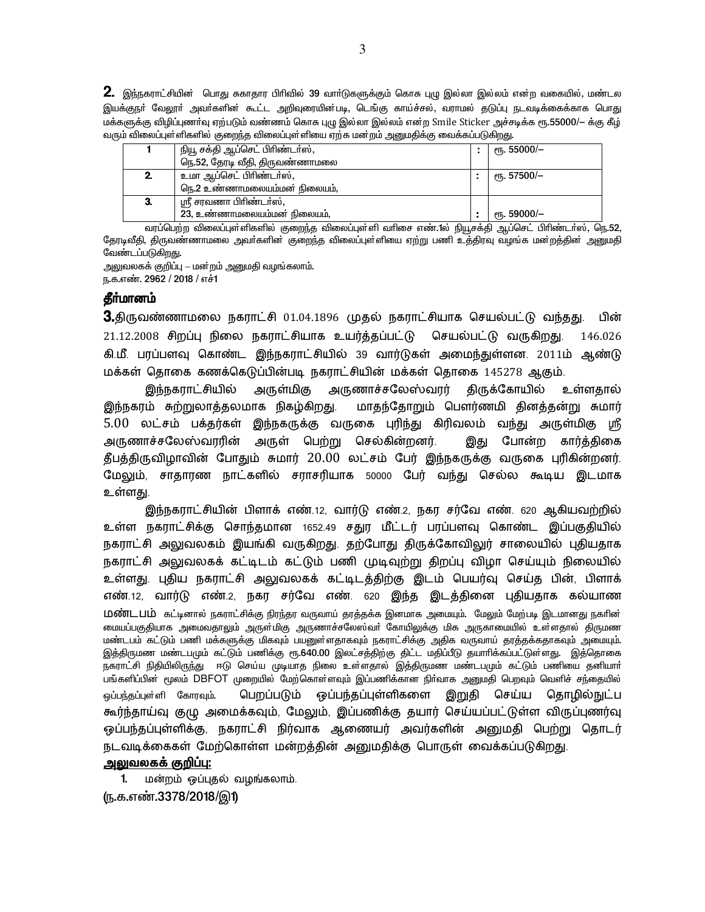${\bf 2.}$  இந்நகராட்சியின் பொது சுகாதார பிரிவில் 39 வாா்டுகளுக்கும் கொசு புழு இல்லா இல்லம் என்ற வகையில், மண்டல .<br>இயக்குநா் வேலூா் அவா்களின் கூட்ட அறிவுரையின்படி, டெங்கு காய்ச்சல், வராமல் தடுப்பு நடவடிக்கைக்காக பொது மக்களுக்கு விழிப்புணர்வு ஏற்படும் வண்ணம் கொசு புழு இல்லா இல்லம் என்ற Smile Sticker அச்சடிக்க ரூ.55000/— க்கு கீழ் வரும் விலைப்புள்ளிகளில் குறைந்த விலைப்புள்ளியை ஏற்க மன்றம் அனுமதிக்கு வைக்கப்படுகிறது.

| நியூ சக்தி ஆப்செட் பிரிண்டா்ஸ், | ரூ. 55000/–             |
|---------------------------------|-------------------------|
| நெ.52, தேரடி வீதி, திருவண்ணாமலை |                         |
| உமா ஆப்செட் பிரிண்டர்ஸ்,        | ( թ. 57500/–            |
| நெ.2 உண்ணாமலையம்மன் நிலையம்.    |                         |
| ஸ்ரீ சரவணா பிரிண்டா்ஸ்,         |                         |
| 23, உண்ணாமலையம்மன் நிலையம்,     | <sub>ሮ</sub> դ. 59000/– |

வரப்பெற்ற விலைப்புள்ளிகளில் குறைந்த விலைப்புள்ளி வாிசை எண்.1ல் நியூசக்தி ஆப்செட் பிாிண்டா்ஸ், நெ.52, தேரடிவீதி, திருவண்ணாமலை அவர்களின் குறைந்த விலைப்புள்ளியை ஏற்று பணி உத்திரவு வழங்க மன்றத்தின் அனுமதி வேண்டப்படுகிறது.

அலுவலகக் குறிப்பு – மன்றம் அனுமதி வழங்கலாம். ந.க.எண். 2962 / 2018 / எச்1

#### தீா்மானம்

 $\bf{3}$ .திருவண்ணாமலை நகராட்சி  $01.04.1896$  (முதல் நகராட்சியாக செயல்பட்டு வந்தது. பின் 21.12.2008 சிறப்பு நிலை நகராட்சியாக உயர்த்தப்பட்டு செயல்பட்டு வருகிறது. 146.026 கி.மீ. பரப்பளவு கொண்ட இந்நகராட்சியில் 39 வார்டுகள் அமைந்துள்ளன. 2011ம் ஆண்டு மக்கள் தொகை கணக்கெடுப்பின்படி நகராட்சியின் மக்கள் தொகை 145278 ஆகும்.

இந்நகராட்சியில் அருள்மிகு அருணாச்சலேஸ்வரர் திருக்கோயில் உள்ளதால் இந்நகரம் சுற்றுலாத்தலமாக நிகழ்கிறது. மாதந்தோறும் பௌர்ணமி தினத்தன்று சுமார் 5.00 லட்சம் பக்தர்கள் இந்நகருக்கு வருகை புரிந்து கிரிவலம் வந்து அருள்மிகு ஸ்ரீ அருணாச்சலேஸ்வரரின் அருள் பெற்று செல்கின்றனர். இது போன்ற கார்த்திகை தீபத்திருவிழாவின் போதும் சுமார் 20.00 லட்சம் பேர் இந்நகருக்கு வருகை புரிகின்றனர். மேலும், சாதாரண நாட்களில் சராசரியாக 50000 பேர் வந்து செல்ல கூடிய இடமாக உள்ளது.

இந்நகராட்சியின் பிளாக் எண்.12, வார்டு எண்.2, நகர சர்வே எண். 620 ஆகியவற்றில் உள்ள நகராட்சிக்கு சொந்தமான 1652.49 சதுர மீட்டர் பரப்பளவு கொண்ட இப்பகுதியில் நகராட்சி அலுவலகம் இயங்கி வருகிறது. தற்போது திருக்கோவிலுர் சாலையில் புதியதாக நகராட்சி அலுவலகக் கட்டிடம் கட்டும் பணி முடிவுற்று திறப்பு விழா செய்யும் நிலையில் உள்ளது. புதிய நகராட்சி அலுவலகக் கட்டிடத்திற்கு இடம் பெயர்வு செய்த பின், பிளாக் எண்.12, வார்டு எண்.2, நகர சர்வே எண். 620 இந்த இடத்தினை புதியதாக கல்யாண மெண்டபம் கட்டினால் நகராட்சிக்கு நிரந்தர வருவாய் தரத்தக்க இனமாக அமையும். மேலும் மேற்படி இடமானது நகரின் .<br>மையப்பகுதியாக அமைவதாலும் அருள்மிகு அருணாச்சலேஸ்வா் கோயிலுக்கு மிக அருகாமையில் உள்ளதால் திருமண .<br>மண்டபம் கட்டும் பணி மக்களுக்கு மிகவும் பயனுள்ளதாகவும் நகராட்சிக்கு அதிக வருவாய் தரத்தக்கதாகவும் அமையும். .<br>இத்திருமண மண்டபமும் கட்டும் பணிக்கு ரூ.640.00 இலட்சத்திற்கு திட்ட மதிப்பீடு தயாரிக்கப்பட்டுள்ளது. இத்தொகை நகராட்சி நிதியிலிருந்து ஈடு செய்ய முடியாத நிலை உள்ளதால் இத்திருமண மண்டபமும் கட்டும் பணியை தனியாா பங்களிப்பின் மூலம் DBFOT முறையில் மேற்கொள்ளவும் இப்பணிக்கான நிர்வாக அனுமதி பெறவும் வெளிச் சந்தையில் ஒப்பந்தப்புள்ளி கோரவும். பெறப்படும் ஒப்பந்தப்புள்ளிகளை இறுதி செய்ய தொழில்நுட்ப கூர்ந்தாய்வு குழு அமைக்கவும், மேலும், இப்பணிக்கு தயார் செய்யப்பட்டுள்ள விருப்புணர்வு ஒப்பந்தப்புள்ளிக்கு, நகராட்சி நிர்வாக ஆணையர் அவர்களின் அனுமதி பெற்று தொடர் நடவடிக்கைகள் மேற்கொள்ள மன்றத்தின் அனுமதிக்கு பொருள் வைக்கப்படுகிறது.

#### அலுவலகக் குறிப்பு:

1. மன்றம் ஒப்புதல் வழங்கலாம். (ந.க.எண்.3378/2018/இ1)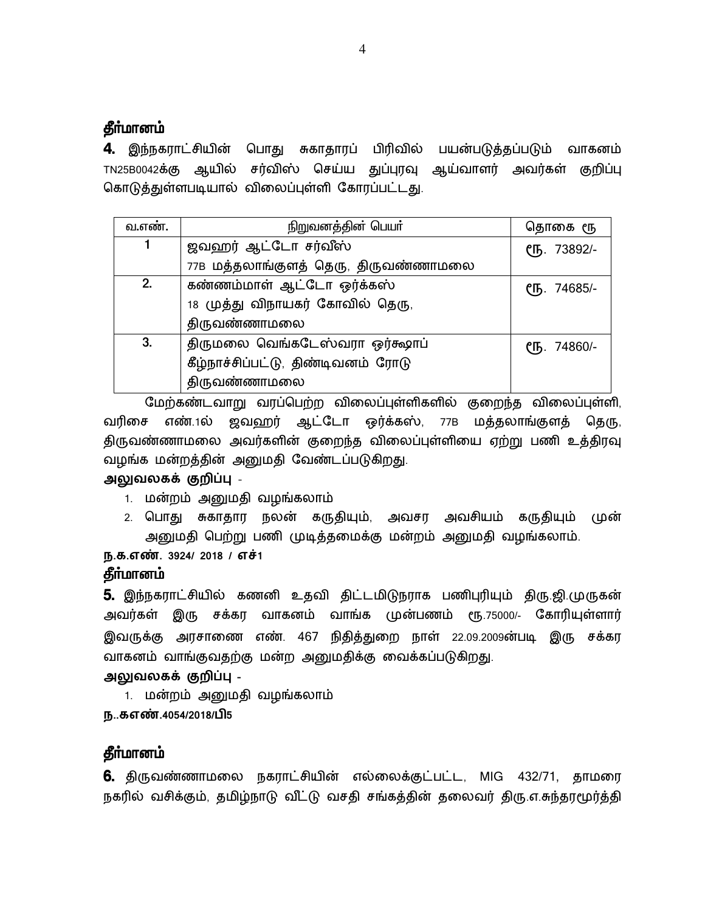#### தீா்மானம்

**4.** இந்நகராட்சியின் பொது சுகாதாரப் பிரிவில் பயன்படுத்தப்படும் வாகனம் TN25B0042க்கு ஆயில் சர்விஸ் செய்ய துப்புரவு ஆய்வாளர் அவர்கள் குறிப்பு கொடுத்துள்ளபடியால் விலைப்புள்ளி கோரப்பட்டது.

| வ.எண். | நிறுவனத்தின் பெயர்                   | தொகை ரூ     |
|--------|--------------------------------------|-------------|
| 1      | ஜவஹர் ஆட்டோ சர்வீஸ்                  | СҦ. 73892/- |
|        | 77B மத்தலாங்குளத் தெரு, திருவண்ணாமலை |             |
| 2.     | கண்ணம்மாள் ஆட்டோ ஒர்க்கஸ்            | СҦ. 74685/- |
|        | 18 முத்து விநாயகர் கோவில் தெரு,      |             |
|        | திருவண்ணாமலை                         |             |
| 3.     | திருமலை வெங்கடேஸ்வரா ஒர்கூலாப்       | СҦ. 74860/- |
|        | கீழ்நாச்சிப்பட்டு, திண்டிவனம் ரோடு   |             |
|        | திருவண்ணாமலை                         |             |

மேற்கண்டவாறு வரப்பெற்ற விலைப்புள்ளிகளில் குறைந்த விலைப்புள்ளி, வரிசை எண்.1ல் ஜவஹர் ஆட்டோ ஒர்க்கஸ், 77B மத்தலாங்குளத் தெரு, திருவண்ணாமலை அவர்களின் குறைந்த விலைப்புள்ளியை ஏற்று பணி உத்திரவு வழங்க மன்றத்தின் அனுமதி வேண்டப்படுகிறது.

#### அலுவலகக் குறிப்பு <sub>-</sub>

- 1. மன்றம் அனுமதி வழங்கலாம்
- 2. பொது சுகாதார நலன் கருதியும், அவசர அவசியம் கருதியும் முன் அனுமதி பெற்று பணி முடித்தமைக்கு மன்றம் அனுமதி வழங்கலாம்.

**ந.க.எண். 3924/ 2018 / எச்1** 

#### தீா்மானம்

**5.** இந்நகராட்சியில் கணனி உதவி திட்டமிடுநராக பணிபுரியும் திரு.ஜி.முருகன் அவர்கள் இரு சக்கர வாகனம் வாங்க முன்பணம் ரூ.75000/- கோரியுள்ளார் இவருக்கு அரசாணை எண். 467 நிதித்துறை நாள் 22.09.2009ன்படி இரு சக்கர வாகனம் வாங்குவதற்கு மன்ற அனுமதிக்கு வைக்கப்படுகிறது.

அலுவலகக் குறிப்பு <sub>-</sub>

1. மன்றம் அனுமதி வழங்கலாம்

**ந..கஎண்.4054/2018/பி5** 

### தீா்மானம்

6. திருவண்ணாமலை நகராட்சியின் எல்லைக்குட்பட்ட, MIG 432/71, தாமரை நகரில் வசிக்கும், தமிழ்நாடு விட்டு வசதி சங்கத்தின் தலைவர் திரு.எ.சுந்தரமூர்த்தி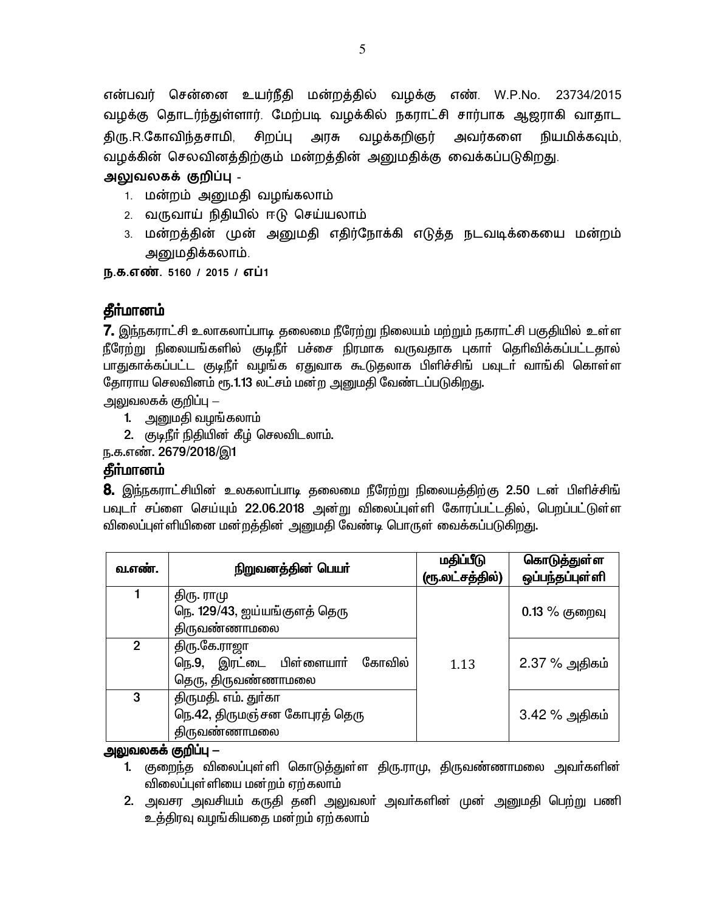என்பவர் சென்னை உயர்நீதி மன்றத்தில் வழக்கு எண். W.P.No. 23734/2015 வழக்கு தொடர்ந்துள்ளார். மேற்படி வழக்கில் நகராட்சி சார்பாக ஆஜராகி வாதாட திரு.R.கோவிந்தசாமி, சிறப்பு அரசு வழக்கறிஞர் அவர்களை நியமிக்கவும், வழக்கின் செலவினத்திற்கும் மன்றத்தின் அனுமதிக்கு வைக்கப்படுகிறது.

அலுவலகக் குறிப்பு -

- 1. மன்றம் அனுமதி வழங்கலாம்
- 2. வருவாய் நிதியில் ஈடு செய்யலாம்
- 3. மன்றத்தின் முன் அனுமதி எதிர்நோக்கி எடுத்த நடவடிக்கையை மன்றம் அனுமதிக்கலாம்.

ந.க.எண். 5160 / 2015 / எப்1

# தீர்மானம்

**7.** இந்நகராட்சி உலாகலாப்பாடி தலைமை நீரேற்று நிலையம் மற்றும் நகராட்சி பகுதியில் உள்ள நீரேற்று நிலையங்களில் குடிநீர் பச்சை நிரமாக வருவதாக புகார் தெரிவிக்கப்பட்டதால் பாதுகாக்கப்பட்ட குடிநீா் வழங்க ஏதுவாக கூடுதலாக பிளிச்சிங் பவுடா் வாங்கி கொள்ள தோராய செலவினம் ரூ.1.13 லட்சம் மன்ற அனுமதி வேண்டப்படுகிறது.

அலுவலகக் குறிப்பு —

- 1. அனுமதி வழங்கலாம்
- 2. குடிநீர் நிதியின் கீழ் செலவிடலாம்.

ந.க.எண். 2679/2018/இ1

# கீர்மானம்

**8.** இந்நகராட்சியின் உலகலாப்பாடி தலைமை நீரேற்று நிலையத்திற்கு 2.50 டன் பிளிச்சிங் பவுடா் சப்ளை செய்யும் 22.06.2018 அன்று விலைப்புள்ளி கோரப்பட்டதில், பெறப்பட்டுள்ள விலைப்புள்ளியினை மன்றத்தின் அனுமதி வேண்டி பொருள் வைக்கப்படுகிறது.

| வ.எண்.         | நிறுவனத்தின் பெயர்                                                    | மதிப்பீடு<br>(ரூ.லட்சத்தில்) | கொடுத்துள்ள<br>ஒப்பந்தப்புள்ளி |
|----------------|-----------------------------------------------------------------------|------------------------------|--------------------------------|
|                | திரு. ராமு<br>நெ. 129/43, ஐய்யங்குளத் தெரு<br>திருவண்ணாமலை            |                              | $0.13\%$ குறைவு                |
| $\overline{2}$ | திரு.கே.ராஜா<br>நெ.9, இரட்டை பிள்ளையார் கோவில்<br>தெரு, திருவண்ணாமலை  | 1.13                         | 2.37 % அதிகம்                  |
| 3              | திருமதி. எம். துா்கா<br>நெ.42, திருமஞ்சன கோபுரத் தெரு<br>திருவண்ணாமலை |                              | 3.42 % அதிகம்                  |

### <u> அலுவலகக் குறிப்பு —</u>

- 1. குறைந்த விலைப்புள்ளி கொடுத்துள்ள திரு.ராமு, திருவண்ணாமலை அவர்களின் விலைப்புள்ளியை மன்றம் ஏற்கலாம்
- 2. அவசர அவசியம் கருதி தனி அலுவலா் அவா்களின் முன் அனுமதி பெற்று பணி உத்திரவு வமங்கியதை மன்றம் ஏற்கலாம்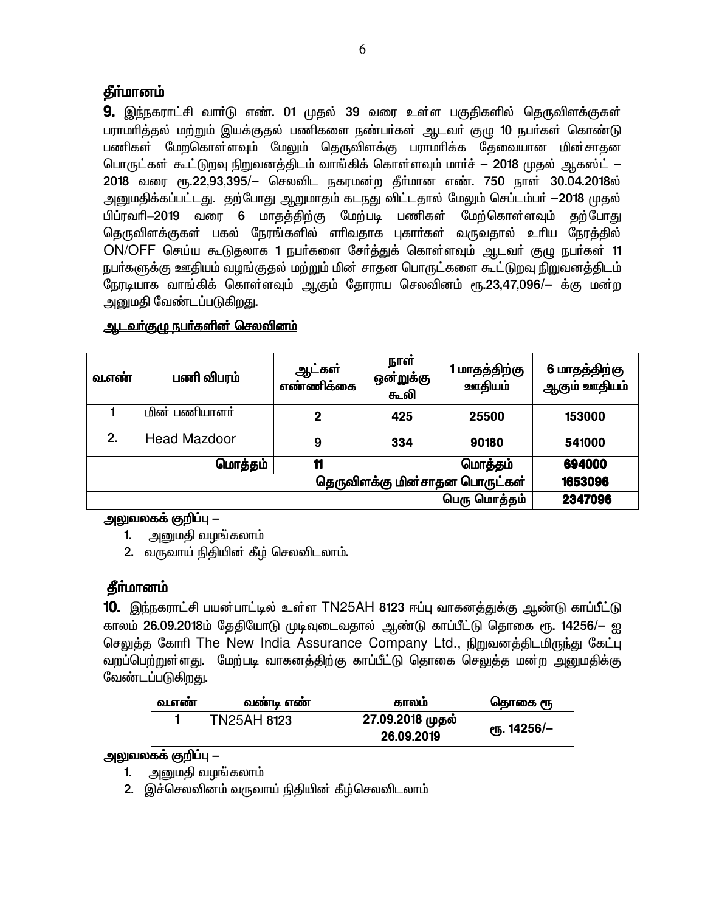# **கீர்மானம்**

**9.** இந்நகராட்சி வாா்டு எண். 01 முதல் 39 வரை உள்ள பகுதிகளில் தெருவிளக்குகள் பராமாித்தல் மற்றும் இயக்குதல் பணிகளை நண்பா்கள் ஆடவா் குழு 10 நபா்கள் கொண்டு பணிகள் மேறகொள்ளவும் மேலும் தெருவிளக்கு பராமரிக்க தேவையான மின்சாதன பொருட்கள் கூட்டுறவு நிறுவனத்திடம் வாங்கிக் கொள்ளவும் மார்ச் — 2018 முதல் ஆகஸ்ட் — 2018 வரை ரூ.22,93,395/– செலவிட நகரமன்ற தீர்மான எண். 750 நாள் 30.04.2018ல் அனுமதிக்கப்பட்டது. தற்போது ஆறுமாதம் கடநது விட்டதால் மேலும் செப்டம்பர் —2018 முதல் பிப்ரவாி—2019 வரை 6 மாகக்கிற்கு மேற்படி பணிகள் மேற்கொள்ளவும் கற்போது தெருவிளக்குகள் பகல் நேரங்களில் எாிவதாக புகாா்கள் வருவதால் உாிய நேரத்தில் ON/OFF செய்ய கூடுதலாக 1 நபர்களை சேர்த்துக் கொள்ளவும் ஆடவர் குழு நபர்கள் 11 நபர்களுக்கு ஊதியம் வழங்குதல் மற்றும் மின் சாதன பொருட்களை கூட்டுறவு நிறுவனத்திடம் நேரடியாக வாங்கிக் கொள்ளவும் ஆகும் தோராய செலவினம் ரூ.23,47,096/— க்கு மன்ற அனுமதி வேண்டப்படுகிறது.

| வ.எண்                          | பணி விபரம்          | ஆட்கள்<br>எண்ணிக்கை | நாள்<br>ஔ்றுக்கு<br>௬லி | மாதத்திற்கு<br>ஊதியம் | 6 மாதத்திற்கு<br>ஆகும் ஊதியம் |
|--------------------------------|---------------------|---------------------|-------------------------|-----------------------|-------------------------------|
|                                | மின் பணியாளர்       | $\overline{2}$      | 425                     | 25500                 | 153000                        |
| 2.                             | <b>Head Mazdoor</b> | 9                   | 334                     | 90180                 | 541000                        |
|                                | மொத்தம்             | 11                  |                         | மொத்தம்               | 694000                        |
| தெருவிளக்கு மின்சாதன பொருட்கள் |                     |                     | 1653096                 |                       |                               |
| பெரு மொத்தம்                   |                     |                     |                         |                       | 2347096                       |

### <u>ஆடவா்குழு நபா்களின் செலவினம்</u>

### அலுவலகக் குறிப்பு —

- 1. அறையதி வழங்கலாம்
- 2. வருவாய் நிதியின் கீழ் செலவிடலாம்.

# தீா்மானம்

10. இந்நகராட்சி பயன்பாட்டில் உள்ள TN25AH 8123 ஈப்பு வாகனத்துக்கு ஆண்டு காப்பீட்டு காலம் 26.09.2018ம் தேதியோடு முடிவுடைவதால் ஆண்டு காப்பீட்டு தொகை ரூ. 14256/— ஐ செலுத்த கோரி The New India Assurance Company Ltd., நிறுவனத்திடமிருந்து கேட்பு வறப்பெற்றுள்ளது. மேற்படி வாகனக்கிற்கு காப்பீட்டு கொகை செலுக்க மன்ற அனுமகிக்கு வேண்டப்படுகிறது.

| வ.எண | வணடி எண            | காலம                           | தொகை ரூ                 |
|------|--------------------|--------------------------------|-------------------------|
|      | <b>TN25AH 8123</b> | 27.09.2018 முதல்<br>26.09.2019 | <sub>0</sub> դ. 14256/– |

### அலுவலகக் குறிப்பு —

- 1. அனுமதி வழங்கலாம்
- 2. இச்செலவினம் வருவாய் நிதியின் கீழ்செலவிடலாம்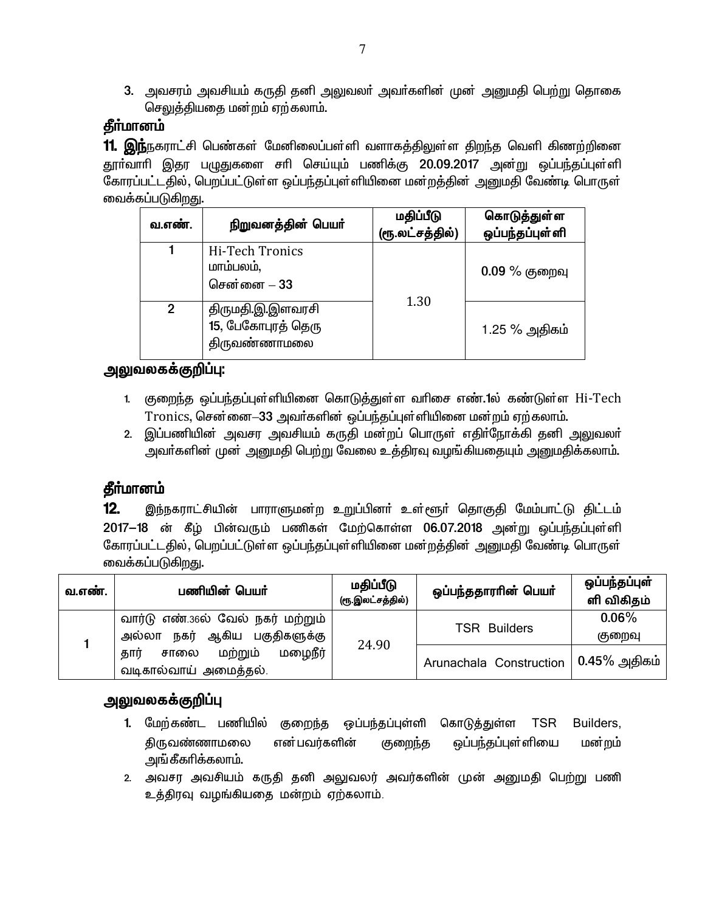3. அவசரம் அவசியம் கருதி தனி அலுவலா் அவா்களின் முன் அனுமதி பெற்று தொகை செலுத்தியதை மன்றம் ஏற்கலாம்.

# தீா்மானம்

 $\,$  11. இந்நகராட்சி பெண்கள் மேனிலைப்பள்ளி வளாகத்திலுள்ள திறந்த வெளி கிணற்றினை தூா்வாரி இதர பழுதுகளை சாி செய்யும் பணிக்கு 20.09.2017 அன்று ஒப்பந்தப்புள்ளி கோரப்பட்டதில், பெறப்பட்டுள்ள ஒப்பந்தப்புள்ளியினை மன்றத்தின் அனுமதி வேண்டி பொருள் வைக்கப்படுகிறது.

| வ.எண்.        | நிறுவனத்தின் பெயர்                                     | மதிப்பீடு<br>(ரூ.லட்சத்தில்) | கொடுத்துள்ள<br>ஒப்பந்தப்புள்ளி |
|---------------|--------------------------------------------------------|------------------------------|--------------------------------|
|               | Hi-Tech Tronics<br>மாம்பலம்,<br>சென்னை – 33            |                              | $0.09\%$ குறைவு                |
| $\mathcal{P}$ | திருமதி.இ.இளவரசி<br>15, பேகோபுரத் தெரு<br>திருவண்ணாமலை | 1.30                         | 1.25 % அதிகம்                  |

# <u>அலுவலகக்குறிப்பு:</u>

- 1. குறைந்த ஒப்பந்தப்புள்ளியினை கொடுத்துள்ள வரிசை எண்.1ல் கண்டுள்ள Hi-Tech  $Tronics$ , சென்னை $-33$  அவர்களின் ஒப்பந்தப்புள்ளியினை மன்றம் ஏற்கலாம்.
- 2. இப்பணியின் அவசர அவசியம் கருதி மன்றப் பொருள் எதிர்நோக்கி தனி அலுவலர் அவா்களின் முன் அனுமதி பெற்று வேலை உத்திரவு வழங்கியதையும் அனுமதிக்கலாம்.

# தீா்மானம்

12. இந்நகராட்சியின் பாராளுமன்ற உறுப்பினா் உள்ளூா் தொகுதி மேம்பாட்டு திட்டம் 2017-18 ன் கீழ் பின்வரும் பணிகள் மேற்கொள்ள 06.07.2018 அன்று ஒப்பந்தப்புள்ளி கோரப்பட்டதில், பெறப்பட்டுள்ள ஒப்பந்தப்புள்ளியினை மன்றத்தின் அனுமதி வேண்டி பொருள் வைக்கப்படுகிறது.

| வ.எண். | பணியின் பெயர்                                                           | மதிப்பீடு<br>(ரூ.இலட்சத்தில்) | ஒப்பந்ததாராின் பெயா்    | ஒப்பந்தப்புள்<br>ளி விகிதம் |
|--------|-------------------------------------------------------------------------|-------------------------------|-------------------------|-----------------------------|
|        | வார்டு எண்.36ல் வேல் நகர் மற்றும்<br>ஆகிய பகுதிகளுக்கு<br>நகர்<br>அல்லா |                               | <b>TSR Builders</b>     | $0.06\%$<br>குறைவு          |
|        | மழைநீர்<br>மற்றும்<br>கார்<br>சாலை<br>வடிகால்வாய் அமைத்தல்.             | 24.90                         | Arunachala Construction | $0.45\%$ அதிகம்             |

# <u>அலுவலகக்குறிப்பு</u>

- 1. மேற்கண்ட பணியில் குறைந்த ஒப்பந்தப்புள்ளி கொடுத்துள்ள TSR Builders, திருவண்ணாமலை என்பவர்களின் குறைந்த ஒப்பந்தப்புள்ளியை மன்றம் அங்கீகரிக்கலாம்.
- 2. அவசர அவசியம் கருதி தனி அலுவலர் அவர்களின் முன் அனுமதி பெற்று பணி உத்திரவு வழங்கியதை மன்றம் ஏற்கலாம்.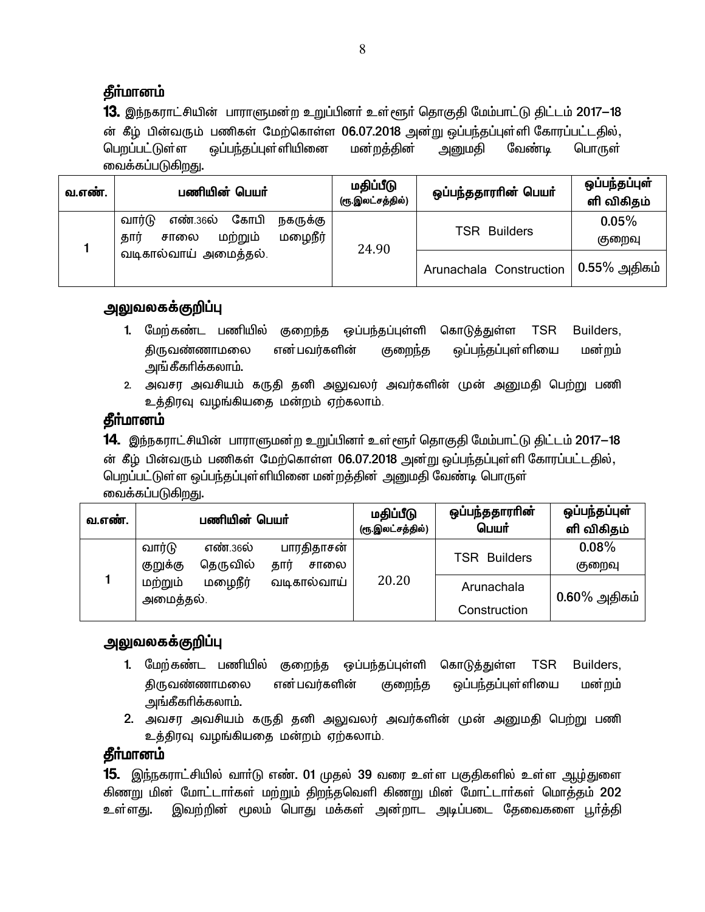# கீா்மானம்

**13.** இந்நகராட்சியின் பாராளுமன்ற உறுப்பினர் உள்ளூர் தொகுதி மேம்பாட்டு திட்டம் 2017—18 ன் கீழ் பின்வரும் பணிகள் மேற்கொள்ள 06.07.2018 அன்று ஒப்பந்தப்புள்ளி கோரப்பட்டதில், <u>பெறப்பட்டு</u>ள்ள ஒப்பந்தப்புள்ளியினை மன்றத்தின் அனுமதி வேண்டி பொருள் வைக்கப்படுகி<u>றத</u>ு.

| வ.எண். | பணியின் பெயர்                                                                | மதிப்பீடு<br>(ரூ.இலட்சத்தில்) | ஒப்பந்ததாரரின் பெயர்    | ஒப்பந்தப்புள்<br>ளி விகிதம் |
|--------|------------------------------------------------------------------------------|-------------------------------|-------------------------|-----------------------------|
|        | வார்டு<br>கோபி<br>எண்.36ல்<br>நகருக்கு<br>மழைநீர்<br>மற்றும்<br>சாலை<br>தார் | 24.90                         | <b>TSR Builders</b>     | 0.05%<br>குறைவு             |
|        | வடிகால்வாய் அமைத்தல்.                                                        |                               | Arunachala Construction | $0.55\%$ அதிகம்             |

## **அலுவலகக்குறிப்பு**

- 1. மேற்கண்ட பணியில் குறைந்த ஒப்பந்தப்புள்ளி கொடுத்துள்ள TSR Builders, திருவண்ணாமலை என்பவர்களின் குறைந்த ஒப்பந்தப்புள்ளியை மன்றம் அங்கீகரிக்கலாம்.
- 2. அவசர அவசியம் கருதி தனி அலுவலர் அவர்களின் முன் அனுமதி பெற்று பணி உத்திரவு வழங்கியதை மன்றம் ஏற்கலாம்.

# **கீா்மானம்**

**14.** இந்நகராட்சியின் பாராளுமன்ற உறுப்பினா் உள்ளூா் தொகுதி மேம்பாட்டு திட்டம் 2017—18 ன் கீழ் பின்வரும் பணிகள் மேற்கொள்ள 06.07.2018 அன்று ஒப்பந்தப்புள்ளி கோரப்பட்டதில், பெறப்பட்டுள்ள ஒப்பந்தப்புள்ளியினை மன்றத்தின் அனுமதி வேண்டி பொருள் வைக்கப்படுகி<u>றத</u>ு.

| வ.எண். |                                            | பணியின் பெயர்              | மதிப்பீடு<br>(ரூ.இலட்சத்தில்) | ஒப்பந்ததாரரின்<br>பெயர்    | ஒப்பந்தப்புள்<br>ளி விகிதம் |
|--------|--------------------------------------------|----------------------------|-------------------------------|----------------------------|-----------------------------|
|        | வார்டு<br>எண்.36ல்<br>தெருவில்<br>குறுக்கு | பாரதிதாசன்<br>தார்<br>சாலை |                               | <b>TSR Builders</b>        | 0.08%<br>குறைவு             |
|        | மழைநீர்<br>மற்றும்<br>அமைத்தல்.            | வடிகால்வாய்                | 20.20                         | Arunachala<br>Construction | $0.60\%$ அதிகம்             |

# <u>அலுவலகக்குறிப்பு</u>

- 1. மேற்கண்ட பணியில் குறைந்த ஒப்பந்தப்புள்ளி கொடுத்துள்ள TSR Builders, திருவண்ணாமலை என்பவர்களின் குறைந்த ஒப்பந்தப்புள்ளியை மன்றம் அங்கீகரிக்கலாம்.
- 2. அவசர அவசியம் கருதி தனி அலுவலர் அவர்களின் முன் அனுமதி பெற்று பணி உத்திரவு வழங்கியதை மன்றம் ஏற்கலாம்.

# தீா்மானம்

15. இந்நகராட்சியில் வார்டு எண். 01 முதல் 39 வரை உள்ள பகுதிகளில் உள்ள <u>ஆழ்து</u>ளை கிணறு மின் மோட்டார்கள் மற்றும் கிறந்தவெளி கிணறு மின் மோட்டார்கள் மொக்கும் 202 ்உள்ளது. இவற்றின் மூலம் பொது மக்கள் அன்றாட அடிப்படை தேவைகளை பூா்த்தி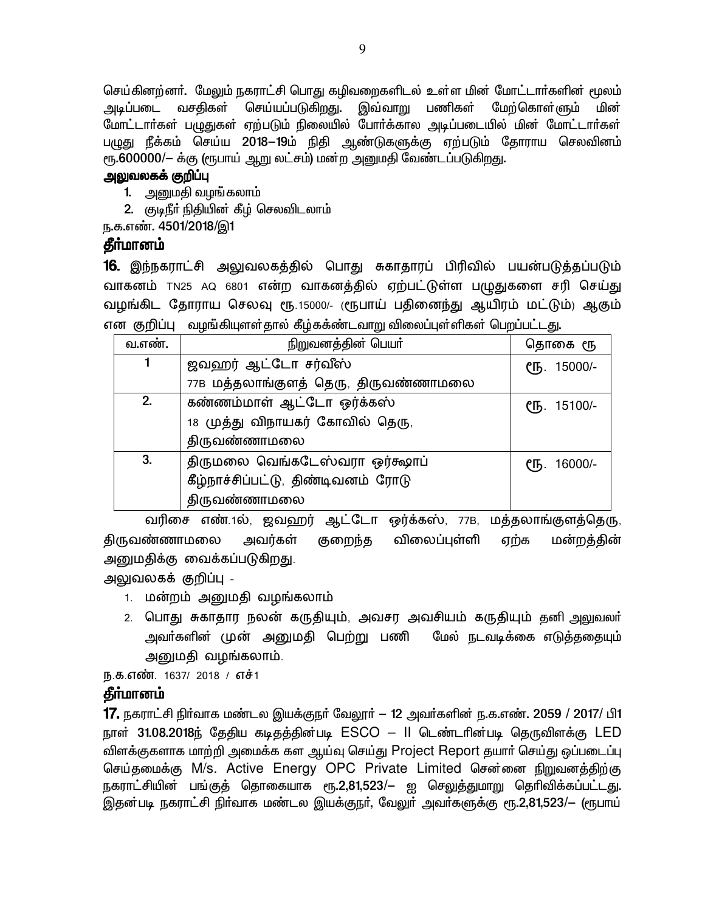செய்கினற்னா். மேலும் நகராட்சி பொது கழிவறைகளிடல் உள்ள மின் மோட்டாா்களின் மூலம் அடிப்படை வசதிகள் செய்யப்படுகிறது. இவ்வாறு பணிகள் மேற்கொள்ளும் மின<mark>்</mark> மோட்டார்கள் பழுதுகள் ஏற்படும் நிலையில் போர்க்கால அடிப்படையில் மின் மோட்டார்கள் பழுது நீக்கம் செய்ய 2018—19ம் நிதி ஆண்டுகளுக்கு ஏற்படும் தோராய செலவினம் ரூ.600000/— க்கு (ரூபாய் ஆறு லட்சம்) மன்ற அனுமதி வேண்டப்படுகி<u>றத</u>ு.

### அலுவலகக் குறிப்பு

- 1. அனுமதி வழங்கலாம்
- 2. குடிநீர் நிதியின் கீழ் செலவிடலாம்
- ந.க.எண். 4501/2018/இ1

## தீா்மானம்

16. இந்நகராட்சி அலுவலகத்தில் பொது சுகாதாரப் பிரிவில் பயன்படுத்தப்படும் வாகனம் TN25 AQ 6801 என்ற வாகனத்தில் ஏற்பட்டுள்ள பழுதுகளை சரி செய்து வழங்கிட தோராய செலவு ரூ.15000/- (ரூபாய் பதினைந்து ஆயிரம் மட்டும்) ஆகும் என குறிப்பு வழங்கியுளள்கால் கீழ்கக்ண்டவாறு விலைப்புள்ளிகள் பெறப்பட்டது.

| வ.எண். | நிறுவனத்தின் பெயர்                   | தொகை ரூ                  |
|--------|--------------------------------------|--------------------------|
|        | ஜவஹர் ஆட்டோ சர்வீஸ்                  | СҦ. 15000/-              |
|        | 77B மத்தலாங்குளத் தெரு, திருவண்ணாமலை |                          |
| 2.     | கண்ணம்மாள் ஆட்டோ ஒர்க்கஸ்            | $\binom{6}{5}$ . 15100/- |
|        | 18 முத்து விநாயகர் கோவில் தெரு,      |                          |
|        | திருவண்ணாமலை                         |                          |
| 3.     | திருமலை வெங்கடேஸ்வரா ஒர்கூலாப்       | СҦ. 16000/-              |
|        | கீழ்நாச்சிப்பட்டு, திண்டிவனம் ரோடு   |                          |
|        | திருவண்ணாமலை                         |                          |

வரிசை எண்.1ல், ஜவஹர் ஆட்டோ ஒர்க்கஸ், 77B, மத்தலாங்குளத்தெரு, திருவண்ணாமலை அவர்கள் குறைந்த விலைப்புள்ளி ஏற்க மன்றத்தின் அனுமதிக்கு வைக்கப்படுகிறது.

அலுவலகக் குறிப்பு -

- 1. மன்றம் அனுமதி வழங்கலாம்
- 2. பொது சுகாதார நலன் கருதியும், அவசர அவசியம் கருதியும் தனி அலுவலர் அவா்களின் முன் அனுமதி பெற்று பணி மேல் நடவடிக்கை எடுத்ததையும் அனுமதி வழங்கலாம்.

ந.க.எண். 1637/ 2018 / எச்1

### கீா்மானம்

 $\bf 17.$  நகராட்சி நிர்வாக மண்டல இயக்குநர் வேலூர் — 12 அவர்களின் ந.க.எண். 2059 / 2017/ பி1 நாள் 31.08.2018ந் தேதிய கடிதத்தின்படி ESCO – II டெண்டரின்படி தெருவிளக்கு LED விளக்குகளாக மாற்றி அமைக்க கள ஆய்வு செய்து Project Report தயார் செய்து ஒப்படைப்பு செய்தமைக்கு M/s. Active Energy OPC Private Limited சென்னை நிறுவனத்திற்கு நகராட்சியின் பங்குத் தொகையாக ரூ.2,81,523/— ஐ செலுத்துமாறு தெரிவிக்கப்பட்டது. இதன்படி நகராட்சி நிா்வாக மண்டல இயக்குநா், வேலுா் அவா்களுக்கு ரூ.2,81,523/— (ரூபாய்